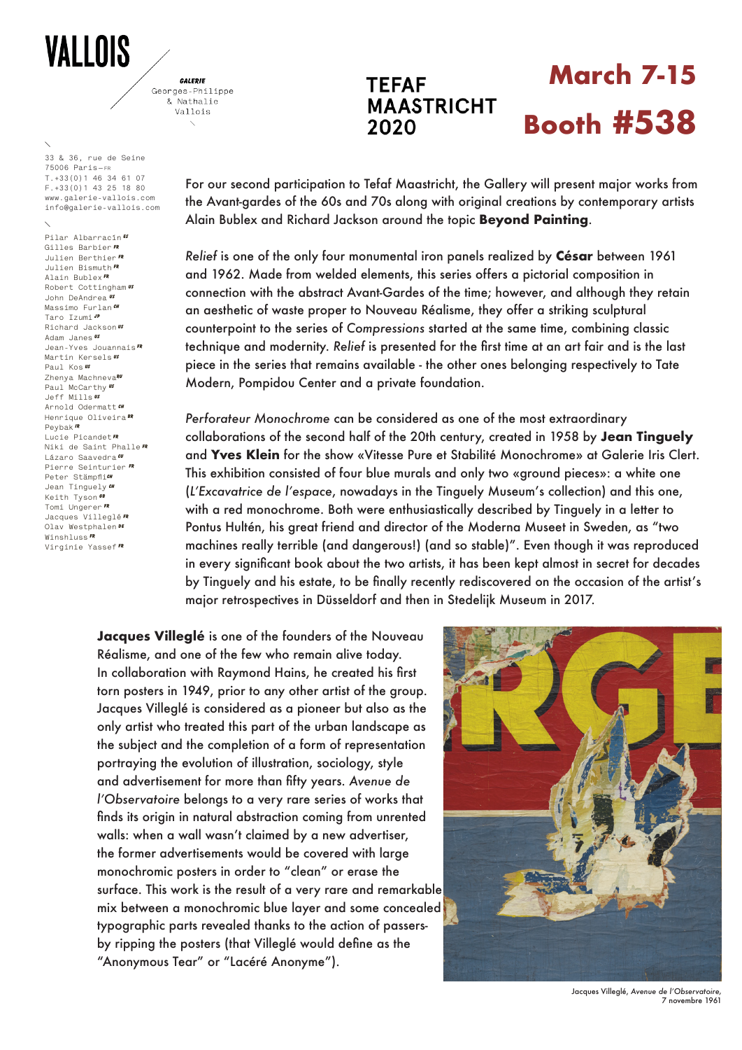## **VALLOIS**

GALERIE Georges-Philippe & Nathalie Vallois

**33 & 36, rue de Seine 75006 Paris—fr T.+33(0)1 46 34 61 07 F.+33(0)1 43 25 18 80 www.galerie-vallois.com info@galerie-vallois.com**

**Pilar Albarracín ES Gilles Barbier FR Julien Berthier FR Julien Bismuth FR Alain Bublex FR Robert Cottingham US John DeAndrea US Massimo Furlan CH Taro Izumi JP Richard Jackson US Adam Janes US Jean-Yves Jouannais FR Martin Kersels US Paul Kos US Zhenya MachnevaRu Paul McCarthy US Jeff Mills US Arnold Odermatt CH Henrique Oliveira BR Peybak ir Lucie Picandet FR Niki de Saint Phalle FR** Lázaro Saavedra<sup>cu</sup> **Pierre Seinturier FR Peter Stämpflich Jean Tinguely ch Keith Tyson Tomi Ungerer FR Jacques Villeglé FR Olav Westphalen De Winshluss FR Virginie Yassef FR**

## **TEFAF MAASTRICHT** 2020

## **March 7-15 Booth #538**

For our second participation to Tefaf Maastricht, the Gallery will present major works from the Avant-gardes of the 60s and 70s along with original creations by contemporary artists Alain Bublex and Richard Jackson around the topic **Beyond Painting**.

*Relief* is one of the only four monumental iron panels realized by **César** between 1961 and 1962. Made from welded elements, this series offers a pictorial composition in connection with the abstract Avant-Gardes of the time; however, and although they retain an aesthetic of waste proper to Nouveau Réalisme, they offer a striking sculptural counterpoint to the series of *Compressions* started at the same time, combining classic technique and modernity. *Relief* is presented for the first time at an art fair and is the last piece in the series that remains available - the other ones belonging respectively to Tate Modern, Pompidou Center and a private foundation.

*Perforateur Monochrome* can be considered as one of the most extraordinary collaborations of the second half of the 20th century, created in 1958 by **Jean Tinguely** and **Yves Klein** for the show «Vitesse Pure et Stabilité Monochrome» at Galerie Iris Clert. This exhibition consisted of four blue murals and only two «ground pieces»: a white one (*L'Excavatrice de l'espace*, nowadays in the Tinguely Museum's collection) and this one, with a red monochrome. Both were enthusiastically described by Tinguely in a letter to Pontus Hultén, his great friend and director of the Moderna Museet in Sweden, as "two machines really terrible (and dangerous!) (and so stable)". Even though it was reproduced in every significant book about the two artists, it has been kept almost in secret for decades by Tinguely and his estate, to be finally recently rediscovered on the occasion of the artist's major retrospectives in Düsseldorf and then in Stedelijk Museum in 2017.

**Jacques Villeglé** is one of the founders of the Nouveau Réalisme, and one of the few who remain alive today. In collaboration with Raymond Hains, he created his first torn posters in 1949, prior to any other artist of the group. Jacques Villeglé is considered as a pioneer but also as the only artist who treated this part of the urban landscape as the subject and the completion of a form of representation portraying the evolution of illustration, sociology, style and advertisement for more than fifty years. *Avenue de l'Observatoire* belongs to a very rare series of works that finds its origin in natural abstraction coming from unrented walls: when a wall wasn't claimed by a new advertiser, the former advertisements would be covered with large monochromic posters in order to "clean" or erase the surface. This work is the result of a very rare and remarkable mix between a monochromic blue layer and some concealed typographic parts revealed thanks to the action of passersby ripping the posters (that Villeglé would define as the "Anonymous Tear" or "Lacéré Anonyme").



Jacques Villeglé, *Avenue de l'Observatoire,*  7 novembre 1961